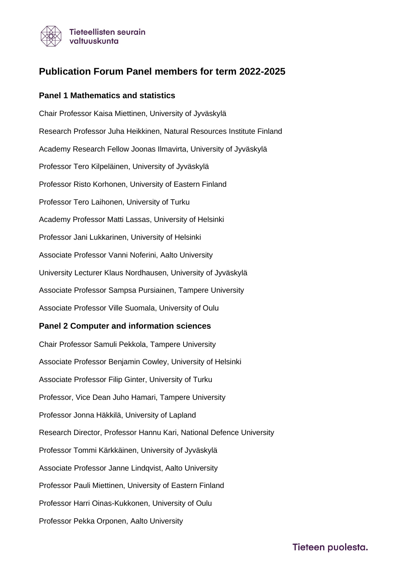

# **Publication Forum Panel members for term 2022-2025**

#### **Panel 1 Mathematics and statistics**

Chair Professor Kaisa Miettinen, University of Jyväskylä Research Professor Juha Heikkinen, Natural Resources Institute Finland Academy Research Fellow Joonas Ilmavirta, University of Jyväskylä Professor Tero Kilpeläinen, University of Jyväskylä Professor Risto Korhonen, University of Eastern Finland Professor Tero Laihonen, University of Turku Academy Professor Matti Lassas, University of Helsinki Professor Jani Lukkarinen, University of Helsinki Associate Professor Vanni Noferini, Aalto University University Lecturer Klaus Nordhausen, University of Jyväskylä Associate Professor Sampsa Pursiainen, Tampere University Associate Professor Ville Suomala, University of Oulu

#### **Panel 2 Computer and information sciences**

Chair Professor Samuli Pekkola, Tampere University Associate Professor Benjamin Cowley, University of Helsinki Associate Professor Filip Ginter, University of Turku Professor, Vice Dean Juho Hamari, Tampere University Professor Jonna Häkkilä, University of Lapland Research Director, Professor Hannu Kari, National Defence University Professor Tommi Kärkkäinen, University of Jyväskylä Associate Professor Janne Lindqvist, Aalto University Professor Pauli Miettinen, University of Eastern Finland Professor Harri Oinas-Kukkonen, University of Oulu Professor Pekka Orponen, Aalto University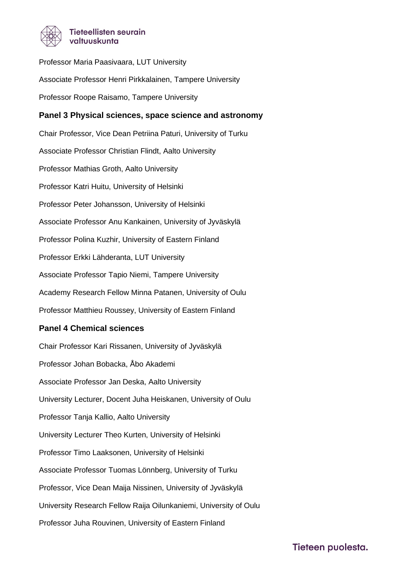

Professor Maria Paasivaara, LUT University Associate Professor Henri Pirkkalainen, Tampere University Professor Roope Raisamo, Tampere University **Panel 3 Physical sciences, space science and astronomy** Chair Professor, Vice Dean Petriina Paturi, University of Turku Associate Professor Christian Flindt, Aalto University Professor Mathias Groth, Aalto University Professor Katri Huitu, University of Helsinki Professor Peter Johansson, University of Helsinki Associate Professor Anu Kankainen, University of Jyväskylä Professor Polina Kuzhir, University of Eastern Finland Professor Erkki Lähderanta, LUT University Associate Professor Tapio Niemi, Tampere University Academy Research Fellow Minna Patanen, University of Oulu Professor Matthieu Roussey, University of Eastern Finland **Panel 4 Chemical sciences** Chair Professor Kari Rissanen, University of Jyväskylä Professor Johan Bobacka, Åbo Akademi Associate Professor Jan Deska, Aalto University

University Lecturer, Docent Juha Heiskanen, University of Oulu

Professor Tanja Kallio, Aalto University

University Lecturer Theo Kurten, University of Helsinki

Professor Timo Laaksonen, University of Helsinki

Associate Professor Tuomas Lönnberg, University of Turku

Professor, Vice Dean Maija Nissinen, University of Jyväskylä

University Research Fellow Raija Oilunkaniemi, University of Oulu

Professor Juha Rouvinen, University of Eastern Finland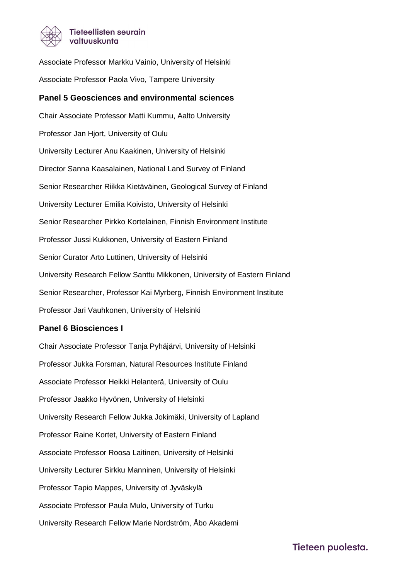

Associate Professor Markku Vainio, University of Helsinki Associate Professor Paola Vivo, Tampere University

#### **Panel 5 Geosciences and environmental sciences**

Chair Associate Professor Matti Kummu, Aalto University Professor Jan Hjort, University of Oulu University Lecturer Anu Kaakinen, University of Helsinki Director Sanna Kaasalainen, National Land Survey of Finland Senior Researcher Riikka Kietäväinen, Geological Survey of Finland University Lecturer Emilia Koivisto, University of Helsinki Senior Researcher Pirkko Kortelainen, Finnish Environment Institute Professor Jussi Kukkonen, University of Eastern Finland Senior Curator Arto Luttinen, University of Helsinki University Research Fellow Santtu Mikkonen, University of Eastern Finland Senior Researcher, Professor Kai Myrberg, Finnish Environment Institute Professor Jari Vauhkonen, University of Helsinki

# **Panel 6 Biosciences I**

Chair Associate Professor Tanja Pyhäjärvi, University of Helsinki Professor Jukka Forsman, Natural Resources Institute Finland Associate Professor Heikki Helanterä, University of Oulu Professor Jaakko Hyvönen, University of Helsinki University Research Fellow Jukka Jokimäki, University of Lapland Professor Raine Kortet, University of Eastern Finland Associate Professor Roosa Laitinen, University of Helsinki University Lecturer Sirkku Manninen, University of Helsinki Professor Tapio Mappes, University of Jyväskylä Associate Professor Paula Mulo, University of Turku University Research Fellow Marie Nordström, Åbo Akademi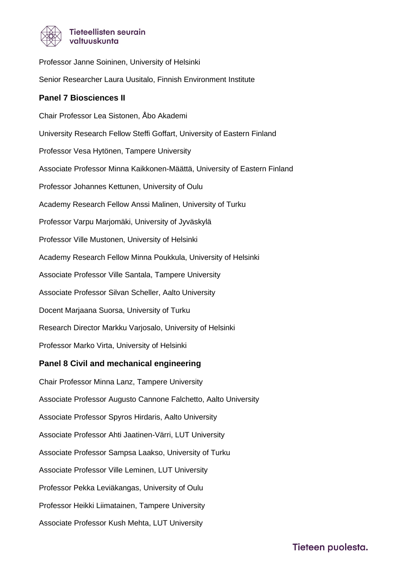

Professor Janne Soininen, University of Helsinki Senior Researcher Laura Uusitalo, Finnish Environment Institute **Panel 7 Biosciences II** Chair Professor Lea Sistonen, Åbo Akademi University Research Fellow Steffi Goffart, University of Eastern Finland Professor Vesa Hytönen, Tampere University

Associate Professor Minna Kaikkonen-Määttä, University of Eastern Finland

Professor Johannes Kettunen, University of Oulu

Academy Research Fellow Anssi Malinen, University of Turku

Professor Varpu Marjomäki, University of Jyväskylä

Professor Ville Mustonen, University of Helsinki

Academy Research Fellow Minna Poukkula, University of Helsinki

Associate Professor Ville Santala, Tampere University

Associate Professor Silvan Scheller, Aalto University

Docent Marjaana Suorsa, University of Turku

Research Director Markku Varjosalo, University of Helsinki

Professor Marko Virta, University of Helsinki

# **Panel 8 Civil and mechanical engineering**

Chair Professor Minna Lanz, Tampere University Associate Professor Augusto Cannone Falchetto, Aalto University Associate Professor Spyros Hirdaris, Aalto University Associate Professor Ahti Jaatinen-Värri, LUT University Associate Professor Sampsa Laakso, University of Turku Associate Professor Ville Leminen, LUT University Professor Pekka Leviäkangas, University of Oulu Professor Heikki Liimatainen, Tampere University Associate Professor Kush Mehta, LUT University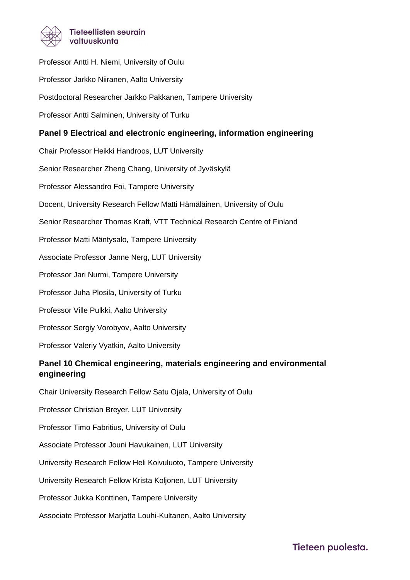

Professor Antti H. Niemi, University of Oulu Professor Jarkko Niiranen, Aalto University Postdoctoral Researcher Jarkko Pakkanen, Tampere University Professor Antti Salminen, University of Turku **Panel 9 Electrical and electronic engineering, information engineering** Chair Professor Heikki Handroos, LUT University Senior Researcher Zheng Chang, University of Jyväskylä Professor Alessandro Foi, Tampere University Docent, University Research Fellow Matti Hämäläinen, University of Oulu Senior Researcher Thomas Kraft, VTT Technical Research Centre of Finland Professor Matti Mäntysalo, Tampere University Associate Professor Janne Nerg, LUT University Professor Jari Nurmi, Tampere University Professor Juha Plosila, University of Turku Professor Ville Pulkki, Aalto University Professor Sergiy Vorobyov, Aalto University Professor Valeriy Vyatkin, Aalto University **Panel 10 Chemical engineering, materials engineering and environmental engineering** Chair University Research Fellow Satu Ojala, University of Oulu Professor Christian Breyer, LUT University Professor Timo Fabritius, University of Oulu

Associate Professor Jouni Havukainen, LUT University

University Research Fellow Heli Koivuluoto, Tampere University

University Research Fellow Krista Koljonen, LUT University

Professor Jukka Konttinen, Tampere University

Associate Professor Marjatta Louhi-Kultanen, Aalto University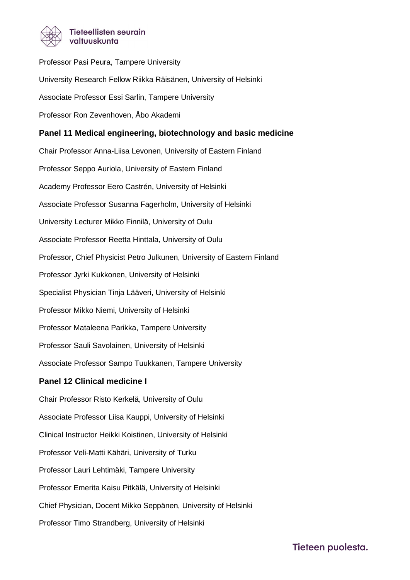

Professor Pasi Peura, Tampere University University Research Fellow Riikka Räisänen, University of Helsinki Associate Professor Essi Sarlin, Tampere University Professor Ron Zevenhoven, Åbo Akademi **Panel 11 Medical engineering, biotechnology and basic medicine** Chair Professor Anna-Liisa Levonen, University of Eastern Finland Professor Seppo Auriola, University of Eastern Finland Academy Professor Eero Castrén, University of Helsinki Associate Professor Susanna Fagerholm, University of Helsinki University Lecturer Mikko Finnilä, University of Oulu Associate Professor Reetta Hinttala, University of Oulu Professor, Chief Physicist Petro Julkunen, University of Eastern Finland Professor Jyrki Kukkonen, University of Helsinki Specialist Physician Tinja Lääveri, University of Helsinki Professor Mikko Niemi, University of Helsinki Professor Mataleena Parikka, Tampere University Professor Sauli Savolainen, University of Helsinki Associate Professor Sampo Tuukkanen, Tampere University **Panel 12 Clinical medicine I** Chair Professor Risto Kerkelä, University of Oulu Associate Professor Liisa Kauppi, University of Helsinki Clinical Instructor Heikki Koistinen, University of Helsinki Professor Veli-Matti Kähäri, University of Turku Professor Lauri Lehtimäki, Tampere University Professor Emerita Kaisu Pitkälä, University of Helsinki Chief Physician, Docent Mikko Seppänen, University of Helsinki Professor Timo Strandberg, University of Helsinki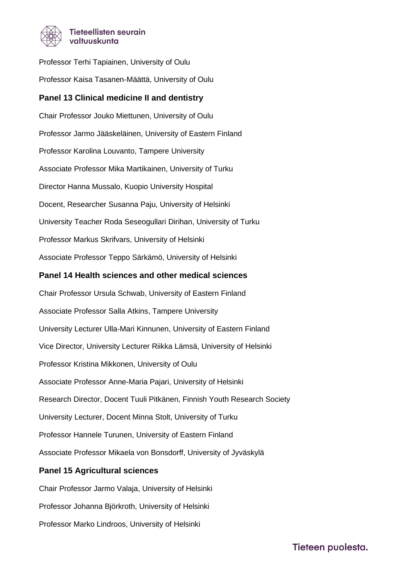

Professor Terhi Tapiainen, University of Oulu Professor Kaisa Tasanen-Määttä, University of Oulu **Panel 13 Clinical medicine II and dentistry**

Chair Professor Jouko Miettunen, University of Oulu Professor Jarmo Jääskeläinen, University of Eastern Finland Professor Karolina Louvanto, Tampere University Associate Professor Mika Martikainen, University of Turku Director Hanna Mussalo, Kuopio University Hospital Docent, Researcher Susanna Paju, University of Helsinki University Teacher Roda Seseogullari Dirihan, University of Turku Professor Markus Skrifvars, University of Helsinki Associate Professor Teppo Särkämö, University of Helsinki

#### **Panel 14 Health sciences and other medical sciences**

Chair Professor Ursula Schwab, University of Eastern Finland Associate Professor Salla Atkins, Tampere University University Lecturer Ulla-Mari Kinnunen, University of Eastern Finland Vice Director, University Lecturer Riikka Lämsä, University of Helsinki Professor Kristina Mikkonen, University of Oulu Associate Professor Anne-Maria Pajari, University of Helsinki Research Director, Docent Tuuli Pitkänen, Finnish Youth Research Society University Lecturer, Docent Minna Stolt, University of Turku Professor Hannele Turunen, University of Eastern Finland Associate Professor Mikaela von Bonsdorff, University of Jyväskylä

# **Panel 15 Agricultural sciences**

Chair Professor Jarmo Valaja, University of Helsinki Professor Johanna Björkroth, University of Helsinki Professor Marko Lindroos, University of Helsinki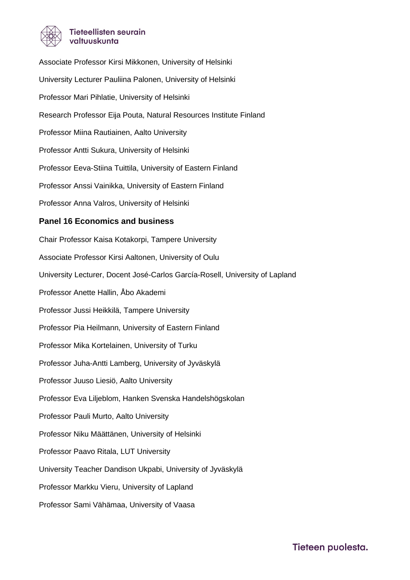

Associate Professor Kirsi Mikkonen, University of Helsinki University Lecturer Pauliina Palonen, University of Helsinki Professor Mari Pihlatie, University of Helsinki Research Professor Eija Pouta, Natural Resources Institute Finland Professor Miina Rautiainen, Aalto University Professor Antti Sukura, University of Helsinki Professor Eeva-Stiina Tuittila, University of Eastern Finland Professor Anssi Vainikka, University of Eastern Finland Professor Anna Valros, University of Helsinki **Panel 16 Economics and business** Chair Professor Kaisa Kotakorpi, Tampere University Associate Professor Kirsi Aaltonen, University of Oulu University Lecturer, Docent José-Carlos García-Rosell, University of Lapland Professor Anette Hallin, Åbo Akademi Professor Jussi Heikkilä, Tampere University Professor Pia Heilmann, University of Eastern Finland Professor Mika Kortelainen, University of Turku Professor Juha-Antti Lamberg, University of Jyväskylä Professor Juuso Liesiö, Aalto University Professor Eva Liljeblom, Hanken Svenska Handelshögskolan Professor Pauli Murto, Aalto University Professor Niku Määttänen, University of Helsinki Professor Paavo Ritala, LUT University University Teacher Dandison Ukpabi, University of Jyväskylä Professor Markku Vieru, University of Lapland Professor Sami Vähämaa, University of Vaasa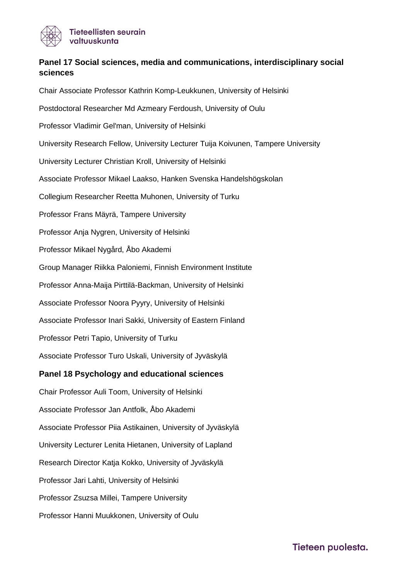

# **Panel 17 Social sciences, media and communications, interdisciplinary social sciences**

Chair Associate Professor Kathrin Komp-Leukkunen, University of Helsinki Postdoctoral Researcher Md Azmeary Ferdoush, University of Oulu Professor Vladimir Gel'man, University of Helsinki University Research Fellow, University Lecturer Tuija Koivunen, Tampere University University Lecturer Christian Kroll, University of Helsinki Associate Professor Mikael Laakso, Hanken Svenska Handelshögskolan Collegium Researcher Reetta Muhonen, University of Turku Professor Frans Mäyrä, Tampere University Professor Anja Nygren, University of Helsinki Professor Mikael Nygård, Åbo Akademi Group Manager Riikka Paloniemi, Finnish Environment Institute Professor Anna-Maija Pirttilä-Backman, University of Helsinki Associate Professor Noora Pyyry, University of Helsinki Associate Professor Inari Sakki, University of Eastern Finland Professor Petri Tapio, University of Turku Associate Professor Turo Uskali, University of Jyväskylä **Panel 18 Psychology and educational sciences** Chair Professor Auli Toom, University of Helsinki Associate Professor Jan Antfolk, Åbo Akademi Associate Professor Piia Astikainen, University of Jyväskylä

University Lecturer Lenita Hietanen, University of Lapland

Research Director Katja Kokko, University of Jyväskylä

Professor Jari Lahti, University of Helsinki

Professor Zsuzsa Millei, Tampere University

Professor Hanni Muukkonen, University of Oulu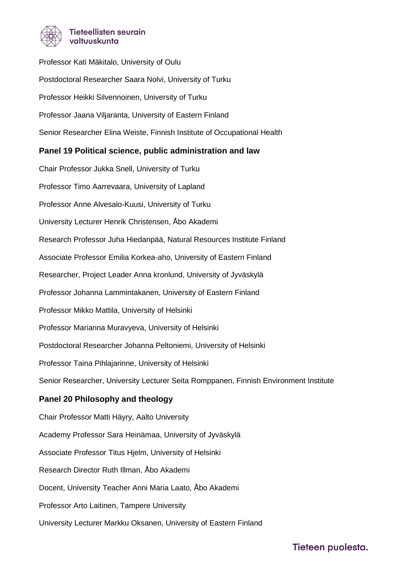

Professor Kati Mäkitalo, University of Oulu Postdoctoral Researcher Saara Nolvi, University of Turku Professor Heikki Silvennoinen, University of Turku Professor Jaana Viljaranta, University of Eastern Finland Senior Researcher Elina Weiste, Finnish Institute of Occupational Health

# **Panel 19 Political science, public administration and law**

Chair Professor Jukka Snell, University of Turku Professor Timo Aarrevaara, University of Lapland Professor Anne Alvesalo-Kuusi, University of Turku University Lecturer Henrik Christensen, Åbo Akademi Research Professor Juha Hiedanpää, Natural Resources Institute Finland Associate Professor Emilia Korkea-aho, University of Eastern Finland Researcher, Project Leader Anna kronlund, University of Jyväskylä Professor Johanna Lammintakanen, University of Eastern Finland Professor Mikko Mattila, University of Helsinki Professor Marianna Muravyeva, University of Helsinki Postdoctoral Researcher Johanna Peltoniemi, University of Helsinki Professor Taina Pihlajarinne, University of Helsinki Senior Researcher, University Lecturer Seita Romppanen, Finnish Environment Institute **Panel 20 Philosophy and theology** Chair Professor Matti Häyry, Aalto University Academy Professor Sara Heinämaa, University of Jyväskylä Associate Professor Titus Hjelm, University of Helsinki Research Director Ruth Illman, Åbo Akademi Docent, University Teacher Anni Maria Laato, Åbo Akademi Professor Arto Laitinen, Tampere University

University Lecturer Markku Oksanen, University of Eastern Finland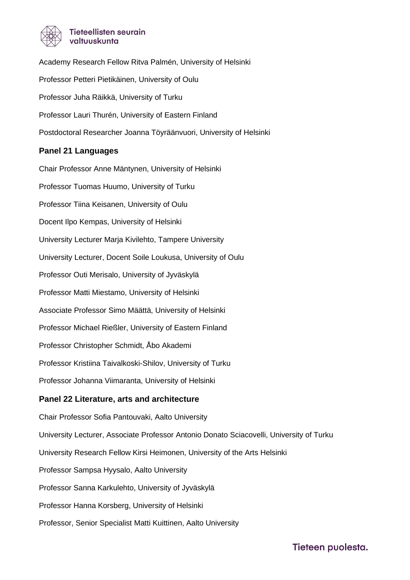

Academy Research Fellow Ritva Palmén, University of Helsinki Professor Petteri Pietikäinen, University of Oulu Professor Juha Räikkä, University of Turku Professor Lauri Thurén, University of Eastern Finland Postdoctoral Researcher Joanna Töyräänvuori, University of Helsinki

#### **Panel 21 Languages**

Chair Professor Anne Mäntynen, University of Helsinki Professor Tuomas Huumo, University of Turku Professor Tiina Keisanen, University of Oulu Docent Ilpo Kempas, University of Helsinki University Lecturer Marja Kivilehto, Tampere University University Lecturer, Docent Soile Loukusa, University of Oulu Professor Outi Merisalo, University of Jyväskylä Professor Matti Miestamo, University of Helsinki Associate Professor Simo Määttä, University of Helsinki Professor Michael Rießler, University of Eastern Finland Professor Christopher Schmidt, Åbo Akademi Professor Kristiina Taivalkoski-Shilov, University of Turku Professor Johanna Viimaranta, University of Helsinki **Panel 22 Literature, arts and architecture** Chair Professor Sofia Pantouvaki, Aalto University University Lecturer, Associate Professor Antonio Donato Sciacovelli, University of Turku University Research Fellow Kirsi Heimonen, University of the Arts Helsinki Professor Sampsa Hyysalo, Aalto University Professor Sanna Karkulehto, University of Jyväskylä Professor Hanna Korsberg, University of Helsinki

Professor, Senior Specialist Matti Kuittinen, Aalto University

Tieteen puolesta.